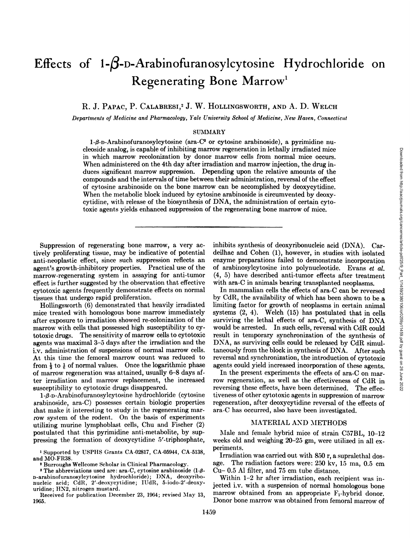Downloaded from http://aacrjournals.org/cancerres/article-pdf/25/9\_Part\_1/1459/2380106/cr0259p11459.pdf by guest on 26 June 2022

# Effects of  $1-\beta$ -D-Arabinofuranosylcytosine Hydrochloride on **Regenerating Bone Marrow1**

R. J. PAPAC, P. CALABRESI,<sup>2</sup> J. W. HOLLINGSWORTH, AND A. D. WELCH

*Departments of Medicine and Pharmacology, Yale University School of Medicine, New Haven, Connecticut*

# SUMMARY

 $1-\beta$ -D-Arabinofuranosylcytosine (ara-C<sup>3</sup> or cytosine arabinoside), a pyrimidine nucleoside analog, is capable of inhibiting marrow regeneration in lethally irradiated mice in which marrow recolonization by donor marrow cells from normal mice occurs. When administered on the 4th day after irradiation and marrow injection, the drug in duces significant marrow suppression. Depending upon the relative amounts of the compounds and the intervals of time between their administration, reversal of the effect of cytosine arabinoside on the bone marrow can be accomplished by deoxycytidine. When the metabolic block induced by cytosine arabinoside is circumvented by deoxycytidine, with release of the biosynthesis of DNA, the administration of certain cyto toxic agents yields enhanced suppression of the regenerating bone marrow of mice.

Suppression of regenerating bone marrow, a very ac tively proliferating tissue, may be indicative of potential anti-neoplastic effect, since such suppression reflects an agent's growth-inhibitory properties. Practical use of the marrow-regenerating system in assaying for anti-tumor effect is further suggested by the observation that effective cytotoxic agents frequently demonstrate effects on normal tissues that undergo rapid proliferation.

Hollingsworth (6) demonstrated that heavily irradiated mice treated with homologous bone marrow immediately after exposure to irradiation showed re-colonization of the marrow with cells that possessed high susceptibility to cy totoxic drugs. The sensitivity of marrow cells to cytotoxic agents was maximal 3—5days after the irradiation and the i.v. administration of suspensions of normal marrow cells. **At this time the femoral marrow count was reduced to** from  $\frac{1}{3}$  to  $\frac{1}{6}$  of normal values. Once the logarithmic phase of marrow regeneration was attained, usually 6—8days af ten irradiation and marrow replacement, the increased susceptibility to cytotoxic drugs disappeared.

 $1-\beta$ -D-Arabinofuranosylcytosine hydrochloride (cytosine arabinoside, ara-C) possesses certain biologic properties that make it interesting to study in the regenerating marrow system of the rodent. On the basis of experiments utilizing munine lymphoblast cells, Chu and Fischer (2) postulated that this pyrimidine anti-metabolite, by sup**pressing the formation of deoxycytidine 5'-tniphosphate,**

**1 Supported by USPHS Grants CA-028i7, CA-05944, CA-5138,** and MO-FR38.

**2 Burroughs Wellcome Scholar in Clinical Pharmacology.**

**3 The abbreviations used are: ara-C, cytosine arabinoside (1-\$-** D-arabinofuranosylcytosine hydrochloride); DNA, deoxyribonucleic acid; CdR, 2'-deoxycytidine; IUdR, 5-iodo-2'-deoxy uridine; HN2, nitrogen mustard.

Received for publication December 23, 1964; revised May 13, 1965.

inhibits synthesis of deoxyribonucleic acid (DNA). Car enzyme preparations failed to demonstrate incorporation of arabinosylcytosine into polynucleotide. Evans et al. (4, 5) have described anti-tumor effects after treatment with ana-C in animals bearing transplanted neoplasms.

ow regeneration in lethally irradiated mice<br>
marrow eight marrow injection, the drug in-<br>
diation and marrow injection, the drug in-<br>
ording upon the relative amounts of the effect<br>
we can be accomplished by decoxycytidin In mammalian cells the effects of ara-C can be reversed by CdR, the availability of which has been shown to be a limiting factor for growth of neoplasms in certain animal systems (2, 4). Welch (15) has postulated that in cells surviving the lethal effects of ara-C, synthesis of DNA would be arrested. In such cells, reversal with CdR could result in temporary synchronization of the synthesis of **DNA, as surviving cells could be released by CdR simul** taneously from the block in synthesis of DNA. After such reversal and synchronization, the introduction of cytotoxic agents could yield increased incorporation of these agents.

In the present experiments the effects of ana-C on mar now regeneration, as well as the effectiveness of CdR in reversing these effects, have been determined. The effec tiveness of other cytotoxic agents in suppression of marrow regeneration, after deoxycytidine reversal of the effects of ara-C has occurred, also have been investigated.

## **MATERIAL AND METHODS**

Male and female hybrid mice of strain C57BL, 10-12 **weeks old and weighing 20—25 gm,were utilized in all ex** periments.

Irradiation was carried out with 850 r, a supralethal dosage. The nadiation factors were: 250 kv, 15 ma, 0.5 cm Cu—0.5 Al filter, and 75 cm tube distance.

Within  $1-2$  hr after irradiation, each recipient was injected i.v. with a suspension of normal homologous bone marrow obtained from an appropriate  $F_1$ -hybrid donor. Donor bone marrow was obtained from femoral marrow of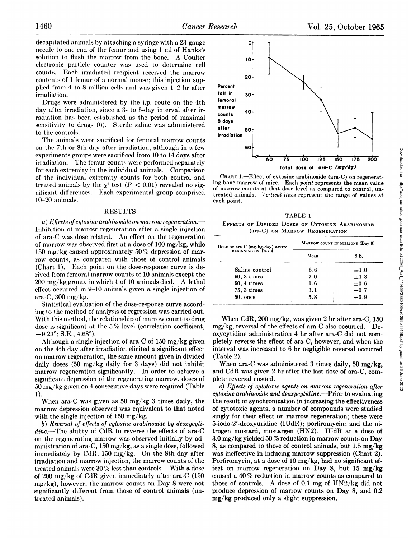decapitated animals by attaching a syringe with a 23-gauge needle to one end of the femur and using 1 ml of Hanks's solution to flush the marrow from the bone. A Coulter electronic particle counter was used to determine cell counts. Each irradiated recipient received the marrow contents of 1 femur of a normal mouse; this injection sup plied from  $4$  to  $8$  million cells and was given  $1-2$  hr after irradiation.

Drugs were administered by the i.p. route on the 4th day after irradiation, since a 3- to 5-day interval after ir radiation has been established as the period of maximal sensitivity to drugs (6). Sterile saline was administered to the controls.

The animals were sacrificed for femoral marrow counts **on the 7th or 8th (lit@ after irradiation, although in a few** experiments groups were sacrificed from 10 to 14 days after irradiation. The femur counts were performed separately for each extremity in the individual animals. Comparison of the individual extremity counts for both control and treated animals by the  $x^2$  test ( $P < 0.01$ ) revealed no sig**mficant differences. Each experimental group comprised 10—20animals.**

## RESULTS

*a*) *Effects* of *cytosine arabinoside* on *marrow regeneration.—* Inhibition of marrow regeneration after a single injection of ara-C was dose related. An effect on the regeneration of marrow was observed first at a dose of  $100 \text{ mg/kg}$ , while 150 mg/kg caused approximately 50 % depression of marrow counts, as compared with those of control animals (Chart 1). Each point on the dose-response curve is de rived from femoral marrow counts of 10 animals except the 200 mg/kg group, in which 4 of 10 animals died. A lethal **effect occurred** in 9–10 animals **given** a single injection of ara-C, 300 mg/kg.

Statistical evaluation of the dose-response curve accord **ing to the method of analysis of regression was carried out..** With this method, the relationship of marrow count to drug dose is significant at the 5 % level (correlation coefficient,  $-9.23^{\circ}$ ; S.E., 4.68°).

Although a single injection of ana-C of 150 mg/kg given **oh the 4th day after irradiation elicited a significant effect** on nmrrow regeneration, the same amount given in divided daily doses (50 mg/kg daily for 3 days) did not inhibit marrow regeneration significantly. In order to achieve a significant depression of the regenerating marrow, doses of **50 mg/kg given on 4 consecutive days were required (Table 1).**

When ara-C was given as 50 mg/kg 3 times daily, the marrow depression observed was equivalent to that noted with the single injection of 150 mg/kg.

*b) Reversal of effects of cytosine arabinoside by deoxycyti*  $dine$ .—The ability of CdR to reverse the effects of ara-C **On the regenerating marrow was observed initially by ad** ministration of ara-C, 150 mg/kg, as a single dose, followed immediately by CdR, 150 mg/kg. On the 8th day after irradiation and marrow injection, the marrow counts of the treated animals were 30 % less than controls. With a dose of 200 mg/kg of CdR given immediately after ara-C (150  $mg/kg$ ), however, the marrow counts on Day 8 were not **significantly different from those of control animals (un** treated animals).



**TABLE 1 EFFECTS OF DIVIDED DOSES OF CYTOSINE ARABINOSIDE** (ara-C) ON MARROW REGENERATION

| 0U                                                                                                                                                                                                                                                                                                                                                                                                                                                                                  |                                  |     |                  |     |
|-------------------------------------------------------------------------------------------------------------------------------------------------------------------------------------------------------------------------------------------------------------------------------------------------------------------------------------------------------------------------------------------------------------------------------------------------------------------------------------|----------------------------------|-----|------------------|-----|
| 50<br>$\overline{75}$                                                                                                                                                                                                                                                                                                                                                                                                                                                               | 100<br>125                       | 150 | $\overline{175}$ | 200 |
|                                                                                                                                                                                                                                                                                                                                                                                                                                                                                     | Total dose of ara-C (mg/kg)      |     |                  |     |
| CHART 1.-Effect of cytosine arabinoside (ara-C) on regenerat-<br>ing bone marrow of mice. Each point represents the mean value<br>of marrow counts at that dose level as compared to control, un-<br>treated animals. Vertical lines represent the range of values at<br>each point.                                                                                                                                                                                                |                                  |     |                  |     |
|                                                                                                                                                                                                                                                                                                                                                                                                                                                                                     | TABLE 1                          |     |                  |     |
| EFFECTS OF DIVIDED DOSES OF CYTOSINE ARABINOSIDE<br>(ara-C) ON MARROW REGENERATION                                                                                                                                                                                                                                                                                                                                                                                                  |                                  |     |                  |     |
| Dose or ara-C (mg/kg/day) GIVEN                                                                                                                                                                                                                                                                                                                                                                                                                                                     | MARROW COUNT IN MILLIONS (Day 8) |     |                  |     |
| BEGINNING ON DAY 4                                                                                                                                                                                                                                                                                                                                                                                                                                                                  | Mean                             |     | S.E.             |     |
| Saline control                                                                                                                                                                                                                                                                                                                                                                                                                                                                      | 6.6                              |     | $\pm 1.0$        |     |
| $50, 3 \times$                                                                                                                                                                                                                                                                                                                                                                                                                                                                      | 7.0                              |     | $\pm 1.3$        |     |
| 50, 4 times                                                                                                                                                                                                                                                                                                                                                                                                                                                                         | 1.6                              |     | $\pm 0.6$        |     |
| 75, 3 times                                                                                                                                                                                                                                                                                                                                                                                                                                                                         | 3.1                              |     | $\pm 0.7$        |     |
| 50, once                                                                                                                                                                                                                                                                                                                                                                                                                                                                            | 5.8                              |     | $\pm 0.9$        |     |
| When CdR, $200 \text{ mg/kg}$ , was given 2 hr after ara-C, 150<br>mg/kg, reversal of the effects of ara-C also occurred. De-<br>oxycytidine administration 4 hr after ara-C did not com-<br>pletely reverse the effect of ara-C, however, and when the<br>interval was increased to 6 hr negligible reversal occurred<br>(Table 2).<br>When ara-C was administered 3 times daily, 50 mg/kg,<br>and CdR was given 2 hr after the last dose of ara-C, com-<br>plete reversal ensued. |                                  |     |                  |     |
|                                                                                                                                                                                                                                                                                                                                                                                                                                                                                     |                                  |     |                  |     |
| c) Effects of cytotoxic agents on marrow regeneration after                                                                                                                                                                                                                                                                                                                                                                                                                         |                                  |     |                  |     |

*c*) *Effects* of *cytotoxic agents on marrow regeneration after cytosine arabinoside and deoxycytidine.—Prior to evaluating* the result of synchronization in increasing the effectiveness of cytotoxic agents, a number of compounds were studied singly for their effect on marrow regeneration; these were 5-iodo-2'-deoxyuridine (IUdR); porfiromycin; and the nitrogen mustard, mustargen (HN2). IUdR at a dose of  $3.0 \,\mathrm{mg/kg}$  yielded  $50\,\%$  reduction in marrow counts on Day 8, as compared to those of control animals, but 1.5 mg/kg was ineffective in inducing marrow suppression (Chart 2). Porfiromycin, at a dose of 10 mg/kg, had no significant ef fect on marrow regeneration on Day 8, but 15 mg/kg caused a 40 % reduction in marrow counts as compared to those of controls. A dose of 0.1 mg of  $HN2/kg$  did not produce depression of marrow counts on Day 8, and 0.2 mg/kg produced only a slight suppression.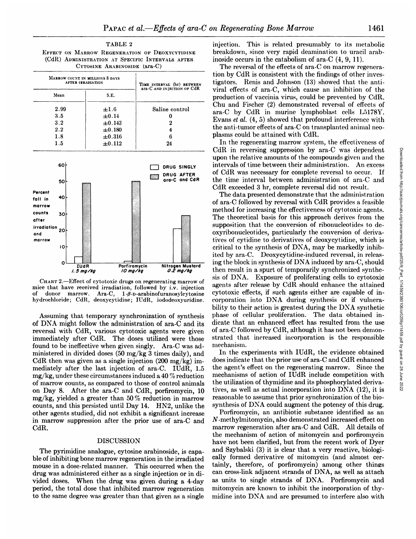**TABLE 2 EFFECT ON MARROW REGENERATION OF DEOXYCYTIDINE** (CdR) ADMINISTRATION AT SPECIFIC INTERVALS AFTER **CYTOSINE ARABINOSIDE (ara-C)**

| ara-C AND INJECTION OF CdR<br>Mean<br>S.E.<br>2.99<br>$\pm 1.6$<br>Saline control<br>3.5<br>$\pm 0.14$<br>0<br>3.2<br>$\pm 0.143$<br>2<br>2.2<br>$\pm 0.180$<br>4<br>1.8<br>$\pm 0.316$<br>6<br>1.5<br>$\pm 0.112$<br>24<br>60<br>DRUG SINGLY<br>DRUG AFTER<br>777)<br>ara-C and CdR<br>50<br>40<br>30<br>irradiation<br>20<br>and<br>marrow<br>10<br>O<br><b>IUdR</b><br>Porfiromycin<br>0.2 mg/kg<br>$1.5$ mg/kg<br>10 mg/kg | MARROW COUNT IN MILLIONS 8 DAYS<br><b>AFTER IRRADIATION</b> |  |  |  | TIME INTERVAL (hr) BETWEEN |                         |  |  |
|--------------------------------------------------------------------------------------------------------------------------------------------------------------------------------------------------------------------------------------------------------------------------------------------------------------------------------------------------------------------------------------------------------------------------------|-------------------------------------------------------------|--|--|--|----------------------------|-------------------------|--|--|
|                                                                                                                                                                                                                                                                                                                                                                                                                                |                                                             |  |  |  |                            |                         |  |  |
| Percent<br>fall in<br>marrow<br>counts<br>after                                                                                                                                                                                                                                                                                                                                                                                |                                                             |  |  |  |                            |                         |  |  |
|                                                                                                                                                                                                                                                                                                                                                                                                                                |                                                             |  |  |  |                            |                         |  |  |
|                                                                                                                                                                                                                                                                                                                                                                                                                                |                                                             |  |  |  |                            |                         |  |  |
|                                                                                                                                                                                                                                                                                                                                                                                                                                |                                                             |  |  |  |                            |                         |  |  |
|                                                                                                                                                                                                                                                                                                                                                                                                                                |                                                             |  |  |  |                            |                         |  |  |
|                                                                                                                                                                                                                                                                                                                                                                                                                                |                                                             |  |  |  |                            |                         |  |  |
|                                                                                                                                                                                                                                                                                                                                                                                                                                |                                                             |  |  |  |                            |                         |  |  |
|                                                                                                                                                                                                                                                                                                                                                                                                                                |                                                             |  |  |  |                            | <b>Nitrogen Mustard</b> |  |  |

**CHART 2.—Effect of cytotoxic drugs on regenerating marrow of** mice that have received irradiation, followed by i.v. injection of donor marrow. Ara-C,  $1-\beta$ -D-arabinofuranosylcytosine hydrochloride; CdR, deoxycytidine; JUdR, iododeoxyuridine.

Assuming that temporary synchronization of synthesis of DNA might follow the administration of ara-C and its reversal with CdR, various cytotoxic agents were given immediately aften CdR. The doses utilized were those found to be ineffective when given singly. Ara-C was ad ministered in divided doses (50 mg/kg 3 times daily), and CdR then was given as a single injection  $(200 \text{ mg/kg})$  immediately after the last injection of ara-C. IUdR, 1.5 mg/kg, under these circumstances induced a 40 % reduction of marrow counts, as compared to those of control animals on Day 8. After the ara-C and CdR, porfiromycin, 10 mg/kg, yielded a greater than 50 % reduction in marrow counts, and this persisted until Day 14. HN2, unlike the other agents studied, did not exhibit a significant increase in marrow suppression after the prior use of ara-C and CdR.

### DISCUSSION

The pyrimidine analogue, cytosine arabinoside, is capable of inhibiting bone marrow regeneration in the irradiated mouse in a dose-related manner. This occurred when the drug was administered either as a single injection or in di vided doses. When the drug was given during a 4-day period, the total dose that inhibited marrow regeneration to the same degree was greater than that given as a single

injection. This is related presumably to its metabolic breakdown, since very rapid deamination to uracil arab inoside occurs in the catabolism of ara-C (4, 9,11).

The reversal of the effects of ara-C on marrow regenera tion by CdR is consistent with the findings of other inves tigators. Renis and Johnson (13) showed that the anti viral effects of ara-C, which cause an inhibition of the production of vaccinia virus, could be prevented by CdR. Chu and Fischer (2) demonstrated reversal of effects of ara-C by CdR in murine lymphoblast cells L5178Y. Evans et al. (4, 5) showed that profound interference with the anti-tumor effects of ara-C on transplanted animal neo plasms could be attained with CdR.

In the regenerating marrow system, the effectiveness of CdR in reversing suppression by ara-C was dependent  $\Box$  DRUG SINGLY intervals of time between their administration. An excess  $\frac{1}{\sqrt{2\pi}}$  **DRUG AFTER** of CdR was necessary for complete reversal to occur. If the time interval between administration of ara-C and **CdR exceeded 3 hr, complete reversal did not result.**

CdR in reversing suppression by ana- $\overline{C}$  and the intervals of the mean-two state intervals of time between their administration. An excess of CdR was necessary for complete reversal to occur. If a compounds given and The data presented demonstrate that the administration of ara-C followed by reversal with CdR provides a feasible method for increasing the effectiveness of cytotoxic agents. The theoretical basis for this approach derives from the supposition that the conversion of ribonucleotides to de oxyribonucleotides, particularly the conversion of deriva tives of cytidine to derivatives of deoxycytidine, which is critical to the synthesis of DNA, may be markedly inhib ited by ara-C. Deoxycytidine-induced reversal, in releas ing the block in synthesis of DNA induced by ara-C, should then result in a spurt of temporarily synchronized synthe sis of DNA. Exposure of proliferating cells to cytotoxic agents after release by CdR should enhance the attained **cytotoxic effects, if such agents either are capable of in** corporation into DNA during synthesis or if vulnerability to their action is greatest during the DNA synthetic phase of cellular proliferation. The data obtained in dicate that an enhanced effect has resulted from the use of ara-C followed by CdR, although it has not been demon strated that increased incorporation is the responsible mechanism.

In the experiments with IUdR, the evidence obtained does indicate that the prior use of ara-C and CdR enhanced the agent's effect on the regenerating marrow. Since the mechanisms of action of IUdR include competition with the utilization of thymidine and its phosphorylated deriva tives, as well as actual incorporation into DNA (12), it is reasonable to assume that prior synchronization of the bio synthesis of DNA could augment the potency of this drug.

Porfiromycin, an antibiotic substance identified as an N-methylmitomycin, also demonstrated increased effect on marrow regeneration after ara-C and CdR. All details of the mechanism of action of mitomycin and porfiromycin have not been clarified, but from the recent work of Dyer and Szybalski (3) it is clear that a very reactive, biologi cally formed derivative of mitomycin (and almost cer tainly, therefore, of porfiromycin) among other things can cross-link adjacent strands of DNA, as well as attach as units to single strands of DNA. Porfiromycin and mitomycin are known to inhibit the incorporation of thy midine into DNA and are presumed to interfere also with